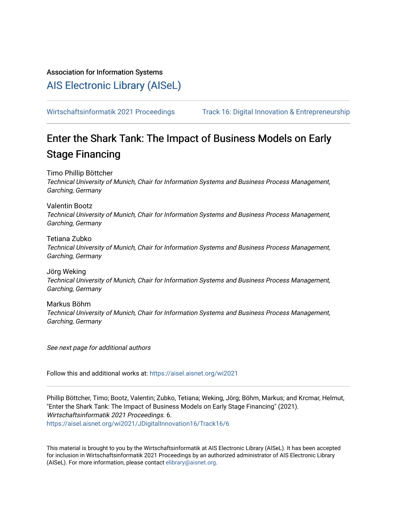Association for Information Systems

# [AIS Electronic Library \(AISeL\)](https://aisel.aisnet.org/)

[Wirtschaftsinformatik 2021 Proceedings](https://aisel.aisnet.org/wi2021) Track 16: Digital Innovation & Entrepreneurship

# Enter the Shark Tank: The Impact of Business Models on Early Stage Financing

Timo Phillip Böttcher Technical University of Munich, Chair for Information Systems and Business Process Management, Garching, Germany

Valentin Bootz Technical University of Munich, Chair for Information Systems and Business Process Management, Garching, Germany

Tetiana Zubko Technical University of Munich, Chair for Information Systems and Business Process Management, Garching, Germany

Jörg Weking Technical University of Munich, Chair for Information Systems and Business Process Management, Garching, Germany

Markus Böhm Technical University of Munich, Chair for Information Systems and Business Process Management, Garching, Germany

See next page for additional authors

Follow this and additional works at: [https://aisel.aisnet.org/wi2021](https://aisel.aisnet.org/wi2021?utm_source=aisel.aisnet.org%2Fwi2021%2FJDigitalInnovation16%2FTrack16%2F6&utm_medium=PDF&utm_campaign=PDFCoverPages) 

Phillip Böttcher, Timo; Bootz, Valentin; Zubko, Tetiana; Weking, Jörg; Böhm, Markus; and Krcmar, Helmut, "Enter the Shark Tank: The Impact of Business Models on Early Stage Financing" (2021). Wirtschaftsinformatik 2021 Proceedings. 6. [https://aisel.aisnet.org/wi2021/JDigitalInnovation16/Track16/6](https://aisel.aisnet.org/wi2021/JDigitalInnovation16/Track16/6?utm_source=aisel.aisnet.org%2Fwi2021%2FJDigitalInnovation16%2FTrack16%2F6&utm_medium=PDF&utm_campaign=PDFCoverPages) 

This material is brought to you by the Wirtschaftsinformatik at AIS Electronic Library (AISeL). It has been accepted for inclusion in Wirtschaftsinformatik 2021 Proceedings by an authorized administrator of AIS Electronic Library (AISeL). For more information, please contact [elibrary@aisnet.org](mailto:elibrary@aisnet.org%3E).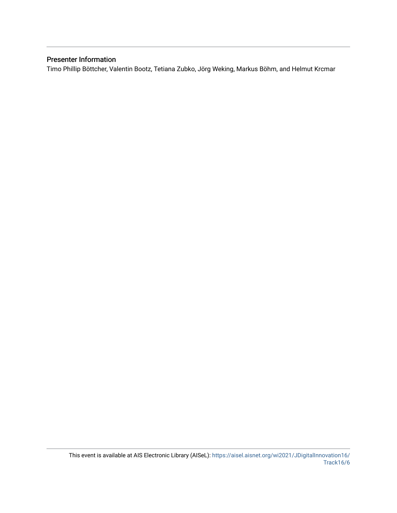# Presenter Information

Timo Phillip Böttcher, Valentin Bootz, Tetiana Zubko, Jörg Weking, Markus Böhm, and Helmut Krcmar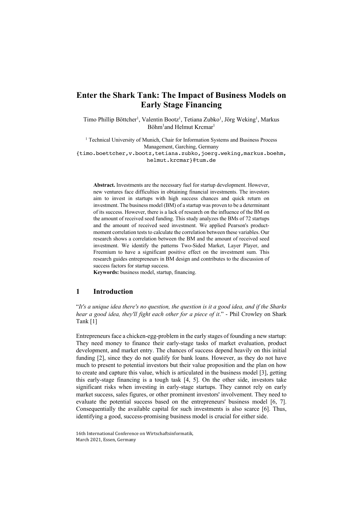# **Enter the Shark Tank: The Impact of Business Models on Early Stage Financing**

Timo Phillip Böttcher<sup>1</sup>, Valentin Bootz<sup>1</sup>, Tetiana Zubko<sup>1</sup>, Jörg Weking<sup>1</sup>, Markus Böhm<sup>1</sup>and Helmut Krcmar<sup>1</sup>

<sup>1</sup> Technical University of Munich, Chair for Information Systems and Business Process Management, Garching, Germany

{timo.boettcher,v.bootz,tetiana.zubko,joerg.weking,markus.boehm, helmut.krcmar}@tum.de

**Abstract.** Investments are the necessary fuel for startup development. However, new ventures face difficulties in obtaining financial investments. The investors aim to invest in startups with high success chances and quick return on investment. The business model (BM) of a startup was proven to be a determinant of its success. However, there is a lack of research on the influence of the BM on the amount of received seed funding. This study analyzes the BMs of 72 startups and the amount of received seed investment. We applied Pearson's productmoment correlation tests to calculate the correlation between these variables. Our research shows a correlation between the BM and the amount of received seed investment. We identify the patterns Two-Sided Market, Layer Player, and Freemium to have a significant positive effect on the investment sum. This research guides entrepreneurs in BM design and contributes to the discussion of success factors for startup success.

**Keywords:** business model, startup, financing.

#### **1 Introduction**

"*It's a unique idea there's no question, the question is it a good idea, and if the Sharks hear a good idea, they'll fight each other for a piece of it*." - Phil Crowley on Shark Tank [1]

Entrepreneurs face a chicken-egg-problem in the early stages of founding a new startup: They need money to finance their early-stage tasks of market evaluation, product development, and market entry. The chances of success depend heavily on this initial funding [2], since they do not qualify for bank loans. However, as they do not have much to present to potential investors but their value proposition and the plan on how to create and capture this value, which is articulated in the business model [3], getting this early-stage financing is a tough task [4, 5]. On the other side, investors take significant risks when investing in early-stage startups. They cannot rely on early market success, sales figures, or other prominent investors' involvement. They need to evaluate the potential success based on the entrepreneurs' business model [6, 7]. Consequentially the available capital for such investments is also scarce [6]. Thus, identifying a good, success-promising business model is crucial for either side.

16th International Conference on Wirtschaftsinformatik, March 2021, Essen, Germany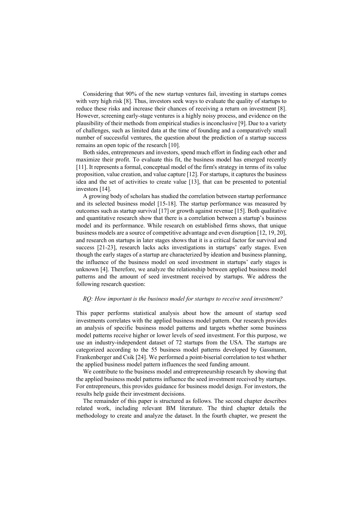Considering that 90% of the new startup ventures fail, investing in startups comes with very high risk [8]. Thus, investors seek ways to evaluate the quality of startups to reduce these risks and increase their chances of receiving a return on investment [8]. However, screening early-stage ventures is a highly noisy process, and evidence on the plausibility of their methods from empirical studies is inconclusive [9]. Due to a variety of challenges, such as limited data at the time of founding and a comparatively small number of successful ventures, the question about the prediction of a startup success remains an open topic of the research [10].

Both sides, entrepreneurs and investors, spend much effort in finding each other and maximize their profit. To evaluate this fit, the business model has emerged recently [11]. It represents a formal, conceptual model of the firm's strategy in terms of its value proposition, value creation, and value capture [12]. For startups, it captures the business idea and the set of activities to create value [13], that can be presented to potential investors [14].

A growing body of scholars has studied the correlation between startup performance and its selected business model [15-18]. The startup performance was measured by outcomes such as startup survival [17] or growth against revenue [15]. Both qualitative and quantitative research show that there is a correlation between a startup's business model and its performance. While research on established firms shows, that unique business models are a source of competitive advantage and even disruption [12, 19, 20], and research on startups in later stages shows that it is a critical factor for survival and success [21-23], research lacks acks investigations in startups' early stages. Even though the early stages of a startup are characterized by ideation and business planning, the influence of the business model on seed investment in startups' early stages is unknown [4]. Therefore, we analyze the relationship between applied business model patterns and the amount of seed investment received by startups. We address the following research question:

#### *RQ: How important is the business model for startups to receive seed investment?*

This paper performs statistical analysis about how the amount of startup seed investments correlates with the applied business model pattern. Our research provides an analysis of specific business model patterns and targets whether some business model patterns receive higher or lower levels of seed investment. For this purpose, we use an industry-independent dataset of 72 startups from the USA. The startups are categorized according to the 55 business model patterns developed by Gassmann, Frankenberger and Csik [24]. We performed a point-biserial correlation to test whether the applied business model pattern influences the seed funding amount.

We contribute to the business model and entrepreneurship research by showing that the applied business model patterns influence the seed investment received by startups. For entrepreneurs, this provides guidance for business model design. For investors, the results help guide their investment decisions.

The remainder of this paper is structured as follows. The second chapter describes related work, including relevant BM literature. The third chapter details the methodology to create and analyze the dataset. In the fourth chapter, we present the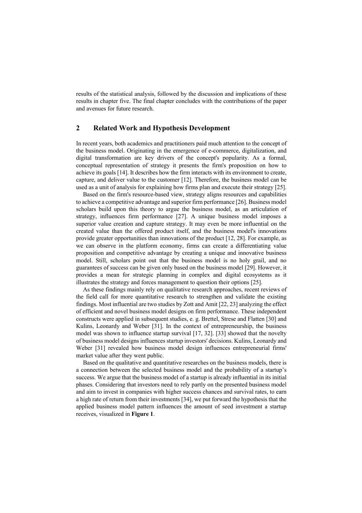results of the statistical analysis, followed by the discussion and implications of these results in chapter five. The final chapter concludes with the contributions of the paper and avenues for future research.

#### **2 Related Work and Hypothesis Development**

In recent years, both academics and practitioners paid much attention to the concept of the business model. Originating in the emergence of e-commerce, digitalization, and digital transformation are key drivers of the concept's popularity. As a formal, conceptual representation of strategy it presents the firm's proposition on how to achieve its goals [14]. It describes how the firm interacts with its environment to create, capture, and deliver value to the customer [12]. Therefore, the business model can be used as a unit of analysis for explaining how firms plan and execute their strategy [25].

Based on the firm's resource-based view, strategy aligns resources and capabilities to achieve a competitive advantage and superior firm performance [26]. Business model scholars build upon this theory to argue the business model, as an articulation of strategy, influences firm performance [27]. A unique business model imposes a superior value creation and capture strategy. It may even be more influential on the created value than the offered product itself, and the business model's innovations provide greater opportunities than innovations of the product [12, 28]. For example, as we can observe in the platform economy, firms can create a differentiating value proposition and competitive advantage by creating a unique and innovative business model. Still, scholars point out that the business model is no holy grail, and no guarantees of success can be given only based on the business model [29]. However, it provides a mean for strategic planning in complex and digital ecosystems as it illustrates the strategy and forces management to question their options [25].

As these findings mainly rely on qualitative research approaches, recent reviews of the field call for more quantitative research to strengthen and validate the existing findings. Most influential are two studies by Zott and Amit [22, 23] analyzing the effect of efficient and novel business model designs on firm performance. These independent constructs were applied in subsequent studies, e. g. Brettel, Strese and Flatten [30] and Kulins, Leonardy and Weber [31]. In the context of entrepreneurship, the business model was shown to influence startup survival [17, 32]. [33] showed that the novelty of business model designs influences startup investors' decisions. Kulins, Leonardy and Weber [31] revealed how business model design influences entrepreneurial firms' market value after they went public.

Based on the qualitative and quantitative researches on the business models, there is a connection between the selected business model and the probability of a startup's success. We argue that the business model of a startup is already influential in its initial phases. Considering that investors need to rely partly on the presented business model and aim to invest in companies with higher success chances and survival rates, to earn a high rate of return from their investments [34], we put forward the hypothesis that the applied business model pattern influences the amount of seed investment a startup receives, visualized in **Figure 1**.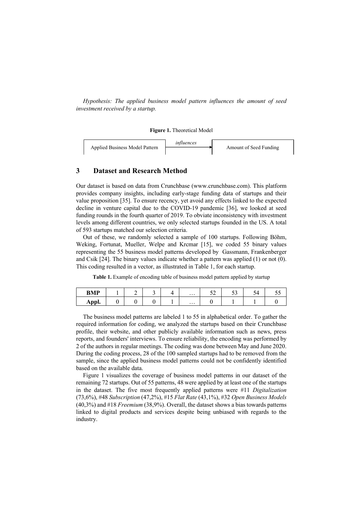*Hypothesis: The applied business model pattern influences the amount of seed investment received by a startup.*

**Figure 1.** Theoretical Model

| <b>Applied Business Model Pattern</b> | intluences | Amount of Seed Funding |
|---------------------------------------|------------|------------------------|
|                                       |            |                        |

## **3 Dataset and Research Method**

Our dataset is based on data from Crunchbase (www.crunchbase.com). This platform provides company insights, including early-stage funding data of startups and their value proposition [35]. To ensure recency, yet avoid any effects linked to the expected decline in venture capital due to the COVID-19 pandemic [36], we looked at seed funding rounds in the fourth quarter of 2019. To obviate inconsistency with investment levels among different countries, we only selected startups founded in the US. A total of 593 startups matched our selection criteria.

Out of these, we randomly selected a sample of 100 startups. Following Böhm, Weking, Fortunat, Mueller, Welpe and Krcmar [15], we coded 55 binary values representing the 55 business model patterns developed by Gassmann, Frankenberger and Csik [24]. The binary values indicate whether a pattern was applied (1) or not (0). This coding resulted in a vector, as illustrated in Table 1, for each startup.

**Table 1.** Example of encoding table of business model pattern applied by startup

| <b>RMP</b><br>$\overline{P}$ | ∼ | - | $\cdots$ | ہ ہ<br>ັ | $\overline{\phantom{a}}$<br>ັ |  |
|------------------------------|---|---|----------|----------|-------------------------------|--|
| nn<br>Appl.                  |   |   | $\cdots$ |          |                               |  |

The business model patterns are labeled 1 to 55 in alphabetical order. To gather the required information for coding, we analyzed the startups based on their Crunchbase profile, their website, and other publicly available information such as news, press reports, and founders' interviews. To ensure reliability, the encoding was performed by 2 of the authors in regular meetings. The coding was done between May and June 2020. During the coding process, 28 of the 100 sampled startups had to be removed from the sample, since the applied business model patterns could not be confidently identified based on the available data.

Figure 1 visualizes the coverage of business model patterns in our dataset of the remaining 72 startups. Out of 55 patterns, 48 were applied by at least one of the startups in the dataset. The five most frequently applied patterns were #11 *Digitalization* (73,6%), #48 *Subscription* (47,2%), #15 *Flat Rate* (43,1%), #32 *Open Business Models* (40,3%) and #18 *Freemium* (38,9%). Overall, the dataset shows a bias towards patterns linked to digital products and services despite being unbiased with regards to the industry.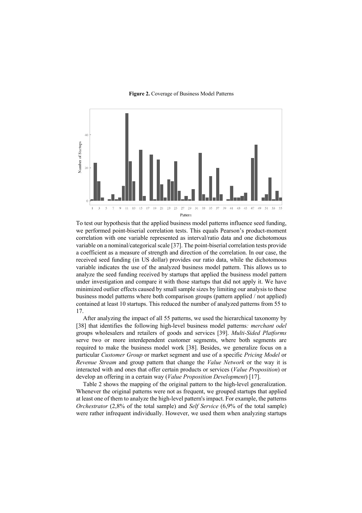#### **Figure 2.** Coverage of Business Model Patterns



To test our hypothesis that the applied business model patterns influence seed funding, we performed point-biserial correlation tests. This equals Pearson's product-moment correlation with one variable represented as interval/ratio data and one dichotomous variable on a nominal/categorical scale [37]. The point-biserial correlation tests provide a coefficient as a measure of strength and direction of the correlation. In our case, the received seed funding (in US dollar) provides our ratio data, while the dichotomous variable indicates the use of the analyzed business model pattern. This allows us to analyze the seed funding received by startups that applied the business model pattern under investigation and compare it with those startups that did not apply it. We have minimized outlier effects caused by small sample sizes by limiting our analysis to these business model patterns where both comparison groups (pattern applied / not applied) contained at least 10 startups. This reduced the number of analyzed patterns from 55 to 17.

After analyzing the impact of all 55 patterns, we used the hierarchical taxonomy by [38] that identifies the following high-level business model patterns: *merchant odel* groups wholesalers and retailers of goods and services [39]. *Multi-Sided Platforms* serve two or more interdependent customer segments, where both segments are required to make the business model work [38]. Besides, we generalize focus on a particular *Customer Group* or market segment and use of a specific *Pricing Model* or *Revenue Stream* and group pattern that change the *Value Network* or the way it is interacted with and ones that offer certain products or services (*Value Proposition*) or develop an offering in a certain way (*Value Proposition Development*) [17].

Table 2 shows the mapping of the original pattern to the high-level generalization. Whenever the original patterns were not as frequent, we grouped startups that applied at least one of them to analyze the high-level pattern's impact. For example, the patterns *Orchestrator* (2,8% of the total sample) and *Self Service* (6,9% of the total sample) were rather infrequent individually. However, we used them when analyzing startups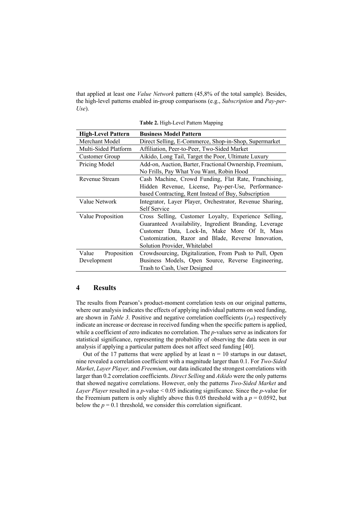that applied at least one *Value Network* pattern (45,8% of the total sample). Besides, the high-level patterns enabled in-group comparisons (e.g., *Subscription* and *Pay-per-Use*).

| <b>High-Level Pattern</b> | <b>Business Model Pattern</b>                            |  |
|---------------------------|----------------------------------------------------------|--|
| Merchant Model            | Direct Selling, E-Commerce, Shop-in-Shop, Supermarket    |  |
| Multi-Sided Platform      | Affiliation, Peer-to-Peer, Two-Sided Market              |  |
| <b>Customer Group</b>     | Aikido, Long Tail, Target the Poor, Ultimate Luxury      |  |
| Pricing Model             | Add-on, Auction, Barter, Fractional Ownership, Freemium, |  |
|                           | No Frills, Pay What You Want, Robin Hood                 |  |
| Revenue Stream            | Cash Machine, Crowd Funding, Flat Rate, Franchising,     |  |
|                           | Hidden Revenue, License, Pay-per-Use, Performance-       |  |
|                           | based Contracting, Rent Instead of Buy, Subscription     |  |
| Value Network             | Integrator, Layer Player, Orchestrator, Revenue Sharing, |  |
|                           | Self Service                                             |  |
| Value Proposition         | Cross Selling, Customer Loyalty, Experience Selling,     |  |
|                           | Guaranteed Availability, Ingredient Branding, Leverage   |  |
|                           | Customer Data, Lock-In, Make More Of It, Mass            |  |
|                           | Customization, Razor and Blade, Reverse Innovation,      |  |
|                           | Solution Provider, Whitelabel                            |  |
| Value<br>Proposition      | Crowdsourcing, Digitalization, From Push to Pull, Open   |  |
| Development               | Business Models, Open Source, Reverse Engineering,       |  |
|                           | Trash to Cash, User Designed                             |  |

**Table 2.** High-Level Pattern Mapping

#### **4 Results**

The results from Pearson's product-moment correlation tests on our original patterns, where our analysis indicates the effects of applying individual patterns on seed funding, are shown in *Table 3*. Positive and negative correlation coefficients (*rpb*) respectively indicate an increase or decrease in received funding when the specific pattern is applied, while a coefficient of zero indicates no correlation. The *p*-values serve as indicators for statistical significance, representing the probability of observing the data seen in our analysis if applying a particular pattern does not affect seed funding [40].

Out of the 17 patterns that were applied by at least  $n = 10$  startups in our dataset, nine revealed a correlation coefficient with a magnitude larger than 0.1. For *Two-Sided Market*, *Layer Player,* and *Freemium*, our data indicated the strongest correlations with larger than 0.2 correlation coefficients. *Direct Selling* and *Aikido* were the only patterns that showed negative correlations. However, only the patterns *Two-Sided Market* and *Layer Player* resulted in a *p*-value < 0.05 indicating significance. Since the *p*-value for the Freemium pattern is only slightly above this 0.05 threshold with a  $p = 0.0592$ , but below the  $p = 0.1$  threshold, we consider this correlation significant.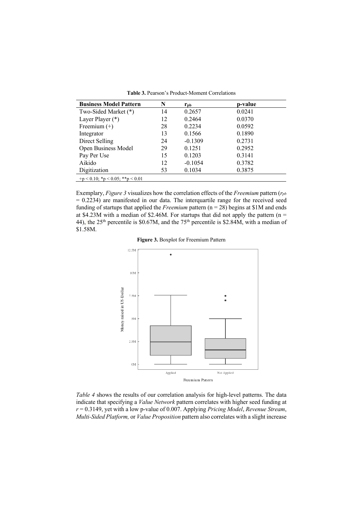| <b>Business Model Pattern</b>    | N  | $r_{\rm pb}$ | p-value |  |
|----------------------------------|----|--------------|---------|--|
| Two-Sided Market (*)             | 14 | 0.2657       | 0.0241  |  |
| Layer Player (*)                 | 12 | 0.2464       | 0.0370  |  |
| Freemium $(+)$                   | 28 | 0.2234       | 0.0592  |  |
| Integrator                       | 13 | 0.1566       | 0.1890  |  |
| Direct Selling                   | 24 | $-0.1309$    | 0.2731  |  |
| Open Business Model              | 29 | 0.1251       | 0.2952  |  |
| Pay Per Use                      | 15 | 0.1203       | 0.3141  |  |
| Aikido                           | 12 | $-0.1054$    | 0.3782  |  |
| Digitization                     | 53 | 0.1034       | 0.3875  |  |
| +p < 0.10; *p < 0.05; **p < 0.01 |    |              |         |  |

**Table 3.** Pearson's Product-Moment Correlations

Exemplary, *Figure 3* visualizes how the correlation effects of the *Freemium* pattern (*rpb*  $= 0.2234$ ) are manifested in our data. The interquartile range for the received seed funding of startups that applied the *Freemium* pattern ( $n = 28$ ) begins at \$1M and ends at \$4.23M with a median of \$2.46M. For startups that did not apply the pattern ( $n =$ 44), the  $25<sup>th</sup>$  percentile is \$0.67M, and the  $75<sup>th</sup>$  percentile is \$2.84M, with a median of \$1.58M.





*Table 4* shows the results of our correlation analysis for high-level patterns. The data indicate that specifying a *Value Network* pattern correlates with higher seed funding at *r* = 0.3149, yet with a low p-value of 0.007. Applying *Pricing Model*, *Revenue Stream*, *Multi-Sided Platform,* or *Value Proposition* pattern also correlates with a slight increase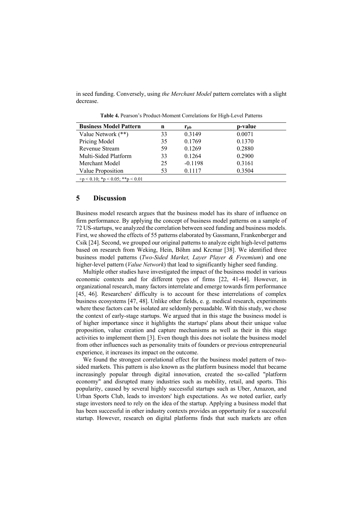in seed funding. Conversely, using *the Merchant Model* pattern correlates with a slight decrease.

| <b>Business Model Pattern</b>    | n  | $r_{\rm pb}$ | p-value |
|----------------------------------|----|--------------|---------|
| Value Network (**)               | 33 | 0.3149       | 0.0071  |
| Pricing Model                    | 35 | 0.1769       | 0.1370  |
| Revenue Stream                   | 59 | 0.1269       | 0.2880  |
| Multi-Sided Platform             | 33 | 0.1264       | 0.2900  |
| Merchant Model                   | 25 | $-0.1198$    | 0.3161  |
| Value Proposition                | 53 | 0.1117       | 0.3504  |
| +p < 0.10; *p < 0.05; **p < 0.01 |    |              |         |

**Table 4.** Pearson's Product-Moment Correlations for High-Level Patterns

## **5 Discussion**

Business model research argues that the business model has its share of influence on firm performance. By applying the concept of business model patterns on a sample of 72 US-startups, we analyzed the correlation between seed funding and business models. First, we showed the effects of 55 patterns elaborated by Gassmann, Frankenberger and Csik [24]. Second, we grouped our original patterns to analyze eight high-level patterns based on research from Weking, Hein, Böhm and Krcmar [38]. We identified three business model patterns (*Two-Sided Market, Layer Player & Freemium*) and one higher-level pattern (*Value Network*) that lead to significantly higher seed funding.

Multiple other studies have investigated the impact of the business model in various economic contexts and for different types of firms [22, 41-44]. However, in organizational research, many factors interrelate and emerge towards firm performance [45, 46]. Researchers' difficulty is to account for these interrelations of complex business ecosystems [47, 48]. Unlike other fields, e. g. medical research, experiments where these factors can be isolated are seldomly persuadable. With this study, we chose the context of early-stage startups. We argued that in this stage the business model is of higher importance since it highlights the startups' plans about their unique value proposition, value creation and capture mechanisms as well as their in this stage activities to implement them [3]. Even though this does not isolate the business model from other influences such as personality traits of founders or previous entrepreneurial experience, it increases its impact on the outcome.

We found the strongest correlational effect for the business model pattern of twosided markets. This pattern is also known as the platform business model that became increasingly popular through digital innovation, created the so-called "platform economy" and disrupted many industries such as mobility, retail, and sports. This popularity, caused by several highly successful startups such as Uber, Amazon, and Urban Sports Club, leads to investors' high expectations. As we noted earlier, early stage investors need to rely on the idea of the startup. Applying a business model that has been successful in other industry contexts provides an opportunity for a successful startup. However, research on digital platforms finds that such markets are often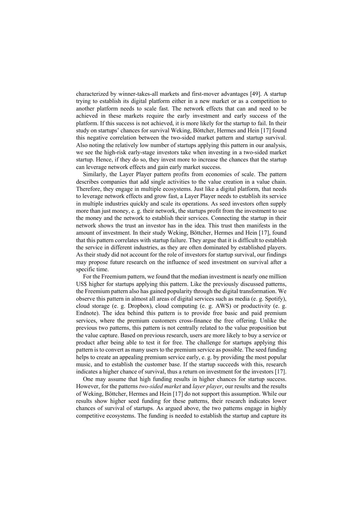characterized by winner-takes-all markets and first-mover advantages [49]. A startup trying to establish its digital platform either in a new market or as a competition to another platform needs to scale fast. The network effects that can and need to be achieved in these markets require the early investment and early success of the platform. If this success is not achieved, it is more likely for the startup to fail. In their study on startups' chances for survival Weking, Böttcher, Hermes and Hein [17] found this negative correlation between the two-sided market pattern and startup survival. Also noting the relatively low number of startups applying this pattern in our analysis, we see the high-risk early-stage investors take when investing in a two-sided market startup. Hence, if they do so, they invest more to increase the chances that the startup can leverage network effects and gain early market success.

Similarly, the Layer Player pattern profits from economies of scale. The pattern describes companies that add single activities to the value creation in a value chain. Therefore, they engage in multiple ecosystems. Just like a digital platform, that needs to leverage network effects and grow fast, a Layer Player needs to establish its service in multiple industries quickly and scale its operations. As seed investors often supply more than just money, e. g. their network, the startups profit from the investment to use the money and the network to establish their services. Connecting the startup in their network shows the trust an investor has in the idea. This trust then manifests in the amount of investment. In their study Weking, Böttcher, Hermes and Hein [17], found that this pattern correlates with startup failure. They argue that it is difficult to establish the service in different industries, as they are often dominated by established players. As their study did not account for the role of investors for startup survival, our findings may propose future research on the influence of seed investment on survival after a specific time.

For the Freemium pattern, we found that the median investment is nearly one million US\$ higher for startups applying this pattern. Like the previously discussed patterns, the Freemium pattern also has gained popularity through the digital transformation. We observe this pattern in almost all areas of digital services such as media (e. g. Spotify), cloud storage (e. g. Dropbox), cloud computing (e. g. AWS) or productivity (e. g. Endnote). The idea behind this pattern is to provide free basic and paid premium services, where the premium customers cross-finance the free offering. Unlike the previous two patterns, this pattern is not centrally related to the value proposition but the value capture. Based on previous research, users are more likely to buy a service or product after being able to test it for free. The challenge for startups applying this pattern is to convert as many users to the premium service as possible. The seed funding helps to create an appealing premium service early, e. g. by providing the most popular music, and to establish the customer base. If the startup succeeds with this, research indicates a higher chance of survival, thus a return on investment for the investors [17].

One may assume that high funding results in higher chances for startup success. However, for the patterns *two-sided market* and *layer player*, our results and the results of Weking, Böttcher, Hermes and Hein [17] do not support this assumption. While our results show higher seed funding for these patterns, their research indicates lower chances of survival of startups. As argued above, the two patterns engage in highly competitive ecosystems. The funding is needed to establish the startup and capture its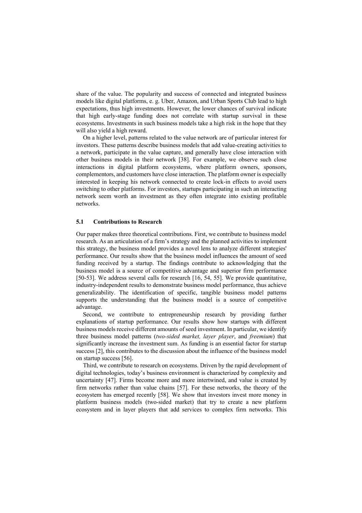share of the value. The popularity and success of connected and integrated business models like digital platforms, e. g. Uber, Amazon, and Urban Sports Club lead to high expectations, thus high investments. However, the lower chances of survival indicate that high early-stage funding does not correlate with startup survival in these ecosystems. Investments in such business models take a high risk in the hope that they will also yield a high reward.

On a higher level, patterns related to the value network are of particular interest for investors. These patterns describe business models that add value-creating activities to a network, participate in the value capture, and generally have close interaction with other business models in their network [38]. For example, we observe such close interactions in digital platform ecosystems, where platform owners, sponsors, complementors, and customers have close interaction. The platform owner is especially interested in keeping his network connected to create lock-in effects to avoid users switching to other platforms. For investors, startups participating in such an interacting network seem worth an investment as they often integrate into existing profitable networks.

#### **5.1 Contributions to Research**

Our paper makes three theoretical contributions. First, we contribute to business model research. As an articulation of a firm's strategy and the planned activities to implement this strategy, the business model provides a novel lens to analyze different strategies' performance. Our results show that the business model influences the amount of seed funding received by a startup. The findings contribute to acknowledging that the business model is a source of competitive advantage and superior firm performance [50-53]. We address several calls for research [16, 54, 55]. We provide quantitative, industry-independent results to demonstrate business model performance, thus achieve generalizability. The identification of specific, tangible business model patterns supports the understanding that the business model is a source of competitive advantage.

Second, we contribute to entrepreneurship research by providing further explanations of startup performance. Our results show how startups with different business models receive different amounts of seed investment. In particular, we identify three business model patterns (*two-sided market, layer player*, and *freemium*) that significantly increase the investment sum. As funding is an essential factor for startup success [2], this contributes to the discussion about the influence of the business model on startup success [56].

Third, we contribute to research on ecosystems. Driven by the rapid development of digital technologies, today's business environment is characterized by complexity and uncertainty [47]. Firms become more and more intertwined, and value is created by firm networks rather than value chains [57]. For these networks, the theory of the ecosystem has emerged recently [58]. We show that investors invest more money in platform business models (two-sided market) that try to create a new platform ecosystem and in layer players that add services to complex firm networks. This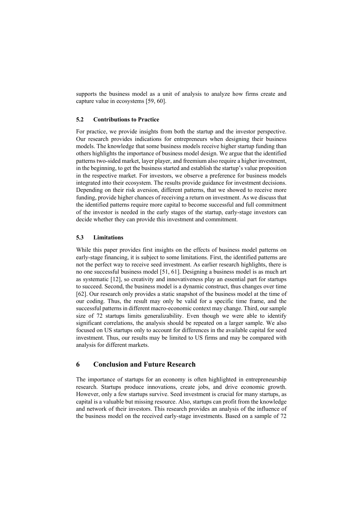supports the business model as a unit of analysis to analyze how firms create and capture value in ecosystems [59, 60].

#### **5.2 Contributions to Practice**

For practice, we provide insights from both the startup and the investor perspective. Our research provides indications for entrepreneurs when designing their business models. The knowledge that some business models receive higher startup funding than others highlights the importance of business model design. We argue that the identified patterns two-sided market, layer player, and freemium also require a higher investment, in the beginning, to get the business started and establish the startup's value proposition in the respective market. For investors, we observe a preference for business models integrated into their ecosystem. The results provide guidance for investment decisions. Depending on their risk aversion, different patterns, that we showed to receive more funding, provide higher chances of receiving a return on investment. As we discuss that the identified patterns require more capital to become successful and full commitment of the investor is needed in the early stages of the startup, early-stage investors can decide whether they can provide this investment and commitment.

#### **5.3 Limitations**

While this paper provides first insights on the effects of business model patterns on early-stage financing, it is subject to some limitations. First, the identified patterns are not the perfect way to receive seed investment. As earlier research highlights, there is no one successful business model [51, 61]. Designing a business model is as much art as systematic [12], so creativity and innovativeness play an essential part for startups to succeed. Second, the business model is a dynamic construct, thus changes over time [62]. Our research only provides a static snapshot of the business model at the time of our coding. Thus, the result may only be valid for a specific time frame, and the successful patterns in different macro-economic context may change. Third, our sample size of 72 startups limits generalizability. Even though we were able to identify significant correlations, the analysis should be repeated on a larger sample. We also focused on US startups only to account for differences in the available capital for seed investment. Thus, our results may be limited to US firms and may be compared with analysis for different markets.

#### **6 Conclusion and Future Research**

The importance of startups for an economy is often highlighted in entrepreneurship research. Startups produce innovations, create jobs, and drive economic growth. However, only a few startups survive. Seed investment is crucial for many startups, as capital is a valuable but missing resource. Also, startups can profit from the knowledge and network of their investors. This research provides an analysis of the influence of the business model on the received early-stage investments. Based on a sample of 72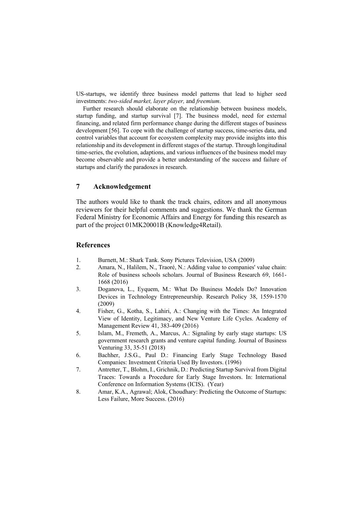US-startups, we identify three business model patterns that lead to higher seed investments: *two-sided market, layer player,* and *freemium*.

Further research should elaborate on the relationship between business models, startup funding, and startup survival [7]. The business model, need for external financing, and related firm performance change during the different stages of business development [56]. To cope with the challenge of startup success, time-series data, and control variables that account for ecosystem complexity may provide insights into this relationship and its development in different stages of the startup. Through longitudinal time-series, the evolution, adaptions, and various influences of the business model may become observable and provide a better understanding of the success and failure of startups and clarify the paradoxes in research.

### **7 Acknowledgement**

The authors would like to thank the track chairs, editors and all anonymous reviewers for their helpful comments and suggestions. We thank the German Federal Ministry for Economic Affairs and Energy for funding this research as part of the project 01MK20001B (Knowledge4Retail).

## **References**

- 1. Burnett, M.: Shark Tank. Sony Pictures Television, USA (2009)
- 2. Amara, N., Halilem, N., Traoré, N.: Adding value to companies' value chain: Role of business schools scholars. Journal of Business Research 69, 1661- 1668 (2016)
- 3. Doganova, L., Eyquem, M.: What Do Business Models Do? Innovation Devices in Technology Entrepreneurship. Research Policy 38, 1559-1570 (2009)
- 4. Fisher, G., Kotha, S., Lahiri, A.: Changing with the Times: An Integrated View of Identity, Legitimacy, and New Venture Life Cycles. Academy of Management Review 41, 383-409 (2016)
- 5. Islam, M., Fremeth, A., Marcus, A.: Signaling by early stage startups: US government research grants and venture capital funding. Journal of Business Venturing 33, 35-51 (2018)
- 6. Bachher, J.S.G., Paul D.: Financing Early Stage Technology Based Companies: Investment Criteria Used By Investors. (1996)
- 7. Antretter, T., Blohm, I., Grichnik, D.: Predicting Startup Survival from Digital Traces: Towards a Procedure for Early Stage Investors. In: International Conference on Information Systems (ICIS). (Year)
- 8. Amar, K.A., Agrawal; Alok, Choudhary: Predicting the Outcome of Startups: Less Failure, More Success. (2016)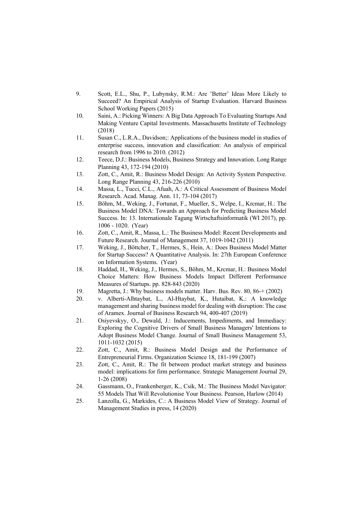- 9. Scott, E.L., Shu, P., Lubynsky, R.M.: Are 'Better' Ideas More Likely to Succeed? An Empirical Analysis of Startup Evaluation. Harvard Business School Working Papers (2015)
- 10. Saini, A.: Picking Winners: A Big Data Approach To Evaluating Startups And Making Venture Capital Investments. Massachusetts Institute of Technology (2018)
- 11. Susan C., L.R.A., Davidson;: Applications of the business model in studies of enterprise success, innovation and classification: An analysis of empirical research from 1996 to 2010. (2012)
- 12. Teece, D.J.: Business Models, Business Strategy and Innovation. Long Range Planning 43, 172-194 (2010)
- 13. Zott, C., Amit, R.: Business Model Design: An Activity System Perspective. Long Range Planning 43, 216-226 (2010)
- 14. Massa, L., Tucci, C.L., Afuah, A.: A Critical Assessment of Business Model Research. Acad. Manag. Ann. 11, 73-104 (2017)
- 15. Böhm, M., Weking, J., Fortunat, F., Mueller, S., Welpe, I., Krcmar, H.: The Business Model DNA: Towards an Approach for Predicting Business Model Success. In: 13. Internationale Tagung Wirtschaftsinformatik (WI 2017), pp. 1006 - 1020. (Year)
- 16. Zott, C., Amit, R., Massa, L.: The Business Model: Recent Developments and Future Research. Journal of Management 37, 1019-1042 (2011)
- 17. Weking, J., Böttcher, T., Hermes, S., Hein, A.: Does Business Model Matter for Startup Success? A Quantitative Analysis. In: 27th European Conference on Information Systems. (Year)
- 18. Haddad, H., Weking, J., Hermes, S., Böhm, M., Krcmar, H.: Business Model Choice Matters: How Business Models Impact Different Performance Measures of Startups. pp. 828-843 (2020)
- 19. Magretta, J.: Why business models matter. Harv. Bus. Rev. 80, 86-+ (2002)
- 20. v. Alberti-Alhtaybat, L., Al-Htaybat, K., Hutaibat, K.: A knowledge management and sharing business model for dealing with disruption: The case of Aramex. Journal of Business Research 94, 400-407 (2019)
- 21. Osiyevskyy, O., Dewald, J.: Inducements, Impediments, and Immediacy: Exploring the Cognitive Drivers of Small Business Managers' Intentions to Adopt Business Model Change. Journal of Small Business Management 53, 1011-1032 (2015)
- 22. Zott, C., Amit, R.: Business Model Design and the Performance of Entrepreneurial Firms. Organization Science 18, 181-199 (2007)
- 23. Zott, C., Amit, R.: The fit between product market strategy and business model: implications for firm performance. Strategic Management Journal 29, 1-26 (2008)
- 24. Gassmann, O., Frankenberger, K., Csik, M.: The Business Model Navigator: 55 Models That Will Revolutionise Your Business. Pearson, Harlow (2014)
- 25. Lanzolla, G., Markides, C.: A Business Model View of Strategy. Journal of Management Studies in press, 14 (2020)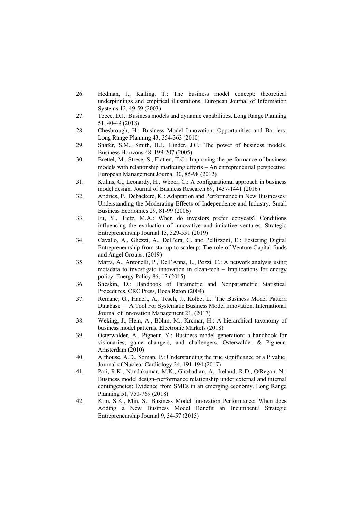- 26. Hedman, J., Kalling, T.: The business model concept: theoretical underpinnings and empirical illustrations. European Journal of Information Systems 12, 49-59 (2003)
- 27. Teece, D.J.: Business models and dynamic capabilities. Long Range Planning 51, 40-49 (2018)
- 28. Chesbrough, H.: Business Model Innovation: Opportunities and Barriers. Long Range Planning 43, 354-363 (2010)
- 29. Shafer, S.M., Smith, H.J., Linder, J.C.: The power of business models. Business Horizons 48, 199-207 (2005)
- 30. Brettel, M., Strese, S., Flatten, T.C.: Improving the performance of business models with relationship marketing efforts – An entrepreneurial perspective. European Management Journal 30, 85-98 (2012)
- 31. Kulins, C., Leonardy, H., Weber, C.: A configurational approach in business model design. Journal of Business Research 69, 1437-1441 (2016)
- 32. Andries, P., Debackere, K.: Adaptation and Performance in New Businesses: Understanding the Moderating Effects of Independence and Industry. Small Business Economics 29, 81-99 (2006)
- 33. Fu, Y., Tietz, M.A.: When do investors prefer copycats? Conditions influencing the evaluation of innovative and imitative ventures. Strategic Entrepreneurship Journal 13, 529-551 (2019)
- 34. Cavallo, A., Ghezzi, A., Dell'era, C. and Pellizzoni, E.: Fostering Digital Entrepreneurship from startup to scaleup: The role of Venture Capital funds and Angel Groups. (2019)
- 35. Marra, A., Antonelli, P., Dell'Anna, L., Pozzi, C.: A network analysis using metadata to investigate innovation in clean-tech – Implications for energy policy. Energy Policy 86, 17 (2015)
- 36. Sheskin, D.: Handbook of Parametric and Nonparametric Statistical Procedures. CRC Press, Boca Raton (2004)
- 37. Remane, G., Hanelt, A., Tesch, J., Kolbe, L.: The Business Model Pattern Database — A Tool For Systematic Business Model Innovation. International Journal of Innovation Management 21, (2017)
- 38. Weking, J., Hein, A., Böhm, M., Krcmar, H.: A hierarchical taxonomy of business model patterns. Electronic Markets (2018)
- 39. Osterwalder, A., Pigneur, Y.: Business model generation: a handbook for visionaries, game changers, and challengers. Osterwalder & Pigneur, Amsterdam (2010)
- 40. Althouse, A.D., Soman, P.: Understanding the true significance of a P value. Journal of Nuclear Cardiology 24, 191-194 (2017)
- 41. Pati, R.K., Nandakumar, M.K., Ghobadian, A., Ireland, R.D., O'Regan, N.: Business model design–performance relationship under external and internal contingencies: Evidence from SMEs in an emerging economy. Long Range Planning 51, 750-769 (2018)
- 42. Kim, S.K., Min, S.: Business Model Innovation Performance: When does Adding a New Business Model Benefit an Incumbent? Strategic Entrepreneurship Journal 9, 34-57 (2015)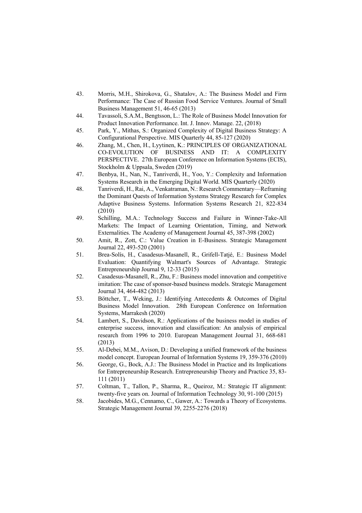- 43. Morris, M.H., Shirokova, G., Shatalov, A.: The Business Model and Firm Performance: The Case of Russian Food Service Ventures. Journal of Small Business Management 51, 46-65 (2013)
- 44. Tavassoli, S.A.M., Bengtsson, L.: The Role of Business Model Innovation for Product Innovation Performance. Int. J. Innov. Manage. 22, (2018)
- 45. Park, Y., Mithas, S.: Organized Complexity of Digital Business Strategy: A Configurational Perspective. MIS Quarterly 44, 85-127 (2020)
- 46. Zhang, M., Chen, H., Lyytinen, K.: PRINCIPLES OF ORGANIZATIONAL CO-EVOLUTION OF BUSINESS AND IT: A COMPLEXITY PERSPECTIVE. 27th European Conference on Information Systems (ECIS), Stockholm & Uppsala, Sweden (2019)
- 47. Benbya, H., Nan, N., Tanriverdi, H., Yoo, Y.: Complexity and Information Systems Research in the Emerging Digital World. MIS Quarterly (2020)
- 48. Tanriverdi, H., Rai, A., Venkatraman, N.: Research Commentary—Reframing the Dominant Quests of Information Systems Strategy Research for Complex Adaptive Business Systems. Information Systems Research 21, 822-834 (2010)
- 49. Schilling, M.A.: Technology Success and Failure in Winner-Take-All Markets: The Impact of Learning Orientation, Timing, and Network Externalities. The Academy of Management Journal 45, 387-398 (2002)
- 50. Amit, R., Zott, C.: Value Creation in E-Business. Strategic Management Journal 22, 493-520 (2001)
- 51. Brea-Solís, H., Casadesus-Masanell, R., Grifell-Tatjé, E.: Business Model Evaluation: Quantifying Walmart's Sources of Advantage. Strategic Entrepreneurship Journal 9, 12-33 (2015)
- 52. Casadesus-Masanell, R., Zhu, F.: Business model innovation and competitive imitation: The case of sponsor-based business models. Strategic Management Journal 34, 464-482 (2013)
- 53. Böttcher, T., Weking, J.: Identifying Antecedents & Outcomes of Digital Business Model Innovation. 28th European Conference on Information Systems, Marrakesh (2020)
- 54. Lambert, S., Davidson, R.: Applications of the business model in studies of enterprise success, innovation and classification: An analysis of empirical research from 1996 to 2010. European Management Journal 31, 668-681 (2013)
- 55. Al-Debei, M.M., Avison, D.: Developing a unified framework of the business model concept. European Journal of Information Systems 19, 359-376 (2010)
- 56. George, G., Bock, A.J.: The Business Model in Practice and its Implications for Entrepreneurship Research. Entrepreneurship Theory and Practice 35, 83- 111 (2011)
- 57. Coltman, T., Tallon, P., Sharma, R., Queiroz, M.: Strategic IT alignment: twenty-five years on. Journal of Information Technology 30, 91-100 (2015)
- 58. Jacobides, M.G., Cennamo, C., Gawer, A.: Towards a Theory of Ecosystems. Strategic Management Journal 39, 2255-2276 (2018)